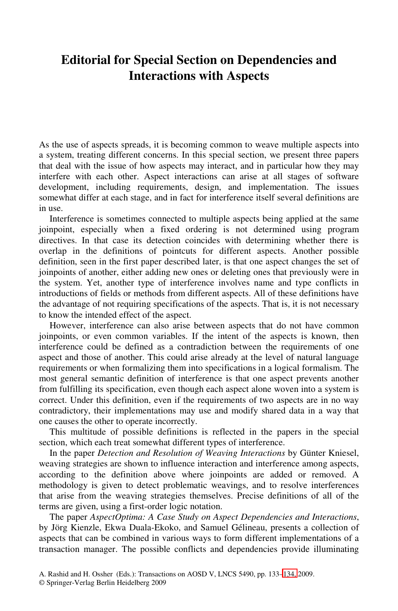## **Editorial for Special Section on Dependencies and Interactions with Aspects**

As the use of aspects spreads, it is becoming common to weave multiple aspects into a system, treating different concerns. In this special section, we present three papers that deal with the issue of how aspects may interact, and in particular how they may interfere with each other. Aspect interactions can arise at all stages of software development, including requirements, design, and implementation. The issues somewhat differ at each stage, and in fact for interference itself several definitions are in use.

Interference is sometimes connected to multiple aspects being applied at the same joinpoint, especially when a fixed ordering is not determined using program directives. In that case its detection coincides with determining whether there is overlap in the definitions of pointcuts for different aspects. Another possible definition, seen in the first paper described later, is that one aspect changes the set of joinpoints of another, either adding new ones or deleting ones that previously were in the system. Yet, another type of interference involves name and type conflicts in introductions of fields or methods from different aspects. All of these definitions have the advantage of not requiring specifications of the aspects. That is, it is not necessary to know the intended effect of the aspect.

However, interference can also arise between aspects that do not have common joinpoints, or even common variables. If the intent of the aspects is known, then interference could be defined as a contradiction between the requirements of one aspect and those of another. This could arise already at the level of natural language requirements or when formalizing them into specifications in a logical formalism. The most general semantic definition of interference is that one aspect prevents another from fulfilling its specification, even though each aspect alone woven into a system is correct. Under this definition, even if the requirements of two aspects are in no way contradictory, their implementations may use and modify shared data in a way that one causes the other to operate incorrectly.

This multitude of possible definitions is reflected in the papers in the special section, which each treat somewhat different types of interference.

In the paper *Detection and Resolution of Weaving Interactions* by Günter Kniesel, weaving strategies are shown to influence interaction and interference among aspects, according to the definition above where joinpoints are added or removed. A methodology is given to detect problemati[c we](#page-1-0)avings, and to resolve interferences that arise from the weaving strategies themselves. Precise definitions of all of the terms are given, using a first-order logic notation.

The paper *AspectOptima: A Case Study on Aspect Dependencies and Interactions*, by Jörg Kienzle, Ekwa Duala-Ekoko, and Samuel Gélineau, presents a collection of aspects that can be combined in various ways to form different implementations of a transaction manager. The possible conflicts and dependencies provide illuminating

A. Rashid and H. Ossher (Eds.): Transactions on AOSD V, LNCS 5490, pp. 133–134, 2009.

<sup>©</sup> Springer-Verlag Berlin Heidelberg 2009